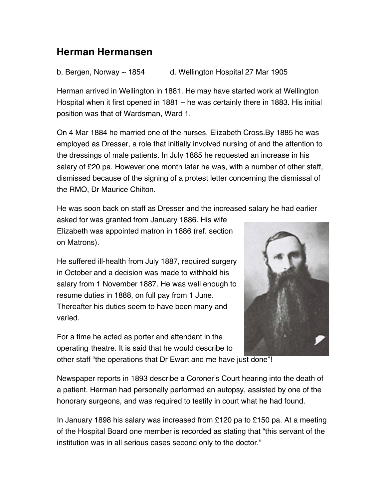## **Herman Hermansen**

b. Bergen, Norway  $\sim$  1854 d. Wellington Hospital 27 Mar 1905

Herman arrived in Wellington in 1881. He may have started work at Wellington Hospital when it first opened in 1881 – he was certainly there in 1883. His initial position was that of Wardsman, Ward 1.

On 4 Mar 1884 he married one of the nurses, Elizabeth Cross.By 1885 he was employed as Dresser, a role that initially involved nursing of and the attention to the dressings of male patients. In July 1885 he requested an increase in his salary of £20 pa. However one month later he was, with a number of other staff, dismissed because of the signing of a protest letter concerning the dismissal of the RMO, Dr Maurice Chilton.

He was soon back on staff as Dresser and the increased salary he had earlier

asked for was granted from January 1886. His wife Elizabeth was appointed matron in 1886 (ref. section on Matrons).

He suffered ill-health from July 1887, required surgery in October and a decision was made to withhold his salary from 1 November 1887. He was well enough to resume duties in 1888, on full pay from 1 June. Thereafter his duties seem to have been many and varied.



For a time he acted as porter and attendant in the operating theatre. It is said that he would describe to other staff "the operations that Dr Ewart and me have just done"!

Newspaper reports in 1893 describe a Coroner's Court hearing into the death of a patient. Herman had personally performed an autopsy, assisted by one of the honorary surgeons, and was required to testify in court what he had found.

In January 1898 his salary was increased from £120 pa to £150 pa. At a meeting of the Hospital Board one member is recorded as stating that "this servant of the institution was in all serious cases second only to the doctor."